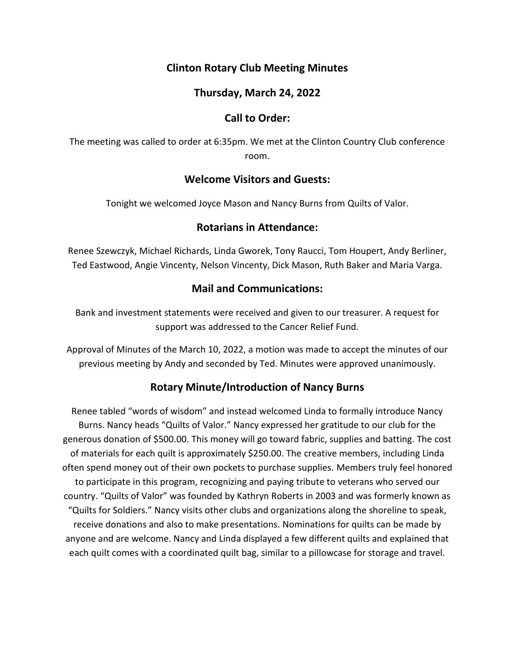# **Clinton Rotary Club Meeting Minutes**

## **Thursday, March 24, 2022**

## **Call to Order:**

The meeting was called to order at 6:35pm. We met at the Clinton Country Club conference room.

### **Welcome Visitors and Guests:**

Tonight we welcomed Joyce Mason and Nancy Burns from Quilts of Valor.

### **Rotarians in Attendance:**

Renee Szewczyk, Michael Richards, Linda Gworek, Tony Raucci, Tom Houpert, Andy Berliner, Ted Eastwood, Angie Vincenty, Nelson Vincenty, Dick Mason, Ruth Baker and Maria Varga.

# **Mail and Communications:**

Bank and investment statements were received and given to our treasurer. A request for support was addressed to the Cancer Relief Fund.

Approval of Minutes of the March 10, 2022, a motion was made to accept the minutes of our previous meeting by Andy and seconded by Ted. Minutes were approved unanimously.

# **Rotary Minute/Introduction of Nancy Burns**

Renee tabled "words of wisdom" and instead welcomed Linda to formally introduce Nancy Burns. Nancy heads "Quilts of Valor." Nancy expressed her gratitude to our club for the generous donation of \$500.00. This money will go toward fabric, supplies and batting. The cost of materials for each quilt is approximately \$250.00. The creative members, including Linda often spend money out of their own pockets to purchase supplies. Members truly feel honored to participate in this program, recognizing and paying tribute to veterans who served our country. "Quilts of Valor" was founded by Kathryn Roberts in 2003 and was formerly known as "Quilts for Soldiers." Nancy visits other clubs and organizations along the shoreline to speak, receive donations and also to make presentations. Nominations for quilts can be made by anyone and are welcome. Nancy and Linda displayed a few different quilts and explained that each quilt comes with a coordinated quilt bag, similar to a pillowcase for storage and travel.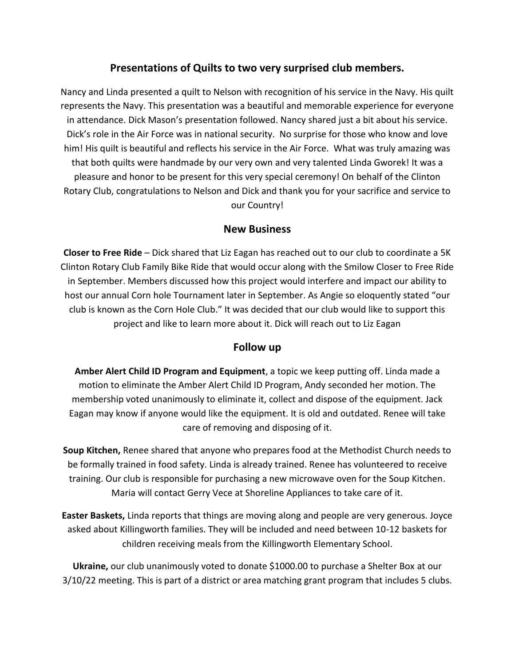## **Presentations of Quilts to two very surprised club members.**

Nancy and Linda presented a quilt to Nelson with recognition of his service in the Navy. His quilt represents the Navy. This presentation was a beautiful and memorable experience for everyone in attendance. Dick Mason's presentation followed. Nancy shared just a bit about his service. Dick's role in the Air Force was in national security. No surprise for those who know and love him! His quilt is beautiful and reflects his service in the Air Force. What was truly amazing was that both quilts were handmade by our very own and very talented Linda Gworek! It was a pleasure and honor to be present for this very special ceremony! On behalf of the Clinton Rotary Club, congratulations to Nelson and Dick and thank you for your sacrifice and service to our Country!

#### **New Business**

**Closer to Free Ride** – Dick shared that Liz Eagan has reached out to our club to coordinate a 5K Clinton Rotary Club Family Bike Ride that would occur along with the Smilow Closer to Free Ride in September. Members discussed how this project would interfere and impact our ability to host our annual Corn hole Tournament later in September. As Angie so eloquently stated "our club is known as the Corn Hole Club." It was decided that our club would like to support this project and like to learn more about it. Dick will reach out to Liz Eagan

#### **Follow up**

**Amber Alert Child ID Program and Equipment**, a topic we keep putting off. Linda made a motion to eliminate the Amber Alert Child ID Program, Andy seconded her motion. The membership voted unanimously to eliminate it, collect and dispose of the equipment. Jack Eagan may know if anyone would like the equipment. It is old and outdated. Renee will take care of removing and disposing of it.

**Soup Kitchen,** Renee shared that anyone who prepares food at the Methodist Church needs to be formally trained in food safety. Linda is already trained. Renee has volunteered to receive training. Our club is responsible for purchasing a new microwave oven for the Soup Kitchen. Maria will contact Gerry Vece at Shoreline Appliances to take care of it.

**Easter Baskets,** Linda reports that things are moving along and people are very generous. Joyce asked about Killingworth families. They will be included and need between 10-12 baskets for children receiving meals from the Killingworth Elementary School.

**Ukraine,** our club unanimously voted to donate \$1000.00 to purchase a Shelter Box at our 3/10/22 meeting. This is part of a district or area matching grant program that includes 5 clubs.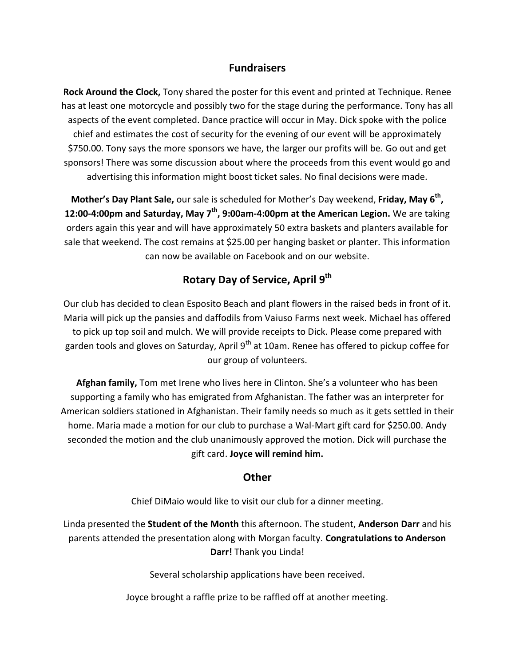#### **Fundraisers**

**Rock Around the Clock,** Tony shared the poster for this event and printed at Technique. Renee has at least one motorcycle and possibly two for the stage during the performance. Tony has all aspects of the event completed. Dance practice will occur in May. Dick spoke with the police chief and estimates the cost of security for the evening of our event will be approximately \$750.00. Tony says the more sponsors we have, the larger our profits will be. Go out and get sponsors! There was some discussion about where the proceeds from this event would go and advertising this information might boost ticket sales. No final decisions were made.

**Mother's Day Plant Sale,** our sale is scheduled for Mother's Day weekend, **Friday, May 6 th , 12:00-4:00pm and Saturday, May 7 th, 9:00am-4:00pm at the American Legion.** We are taking orders again this year and will have approximately 50 extra baskets and planters available for sale that weekend. The cost remains at \$25.00 per hanging basket or planter. This information can now be available on Facebook and on our website.

# **Rotary Day of Service, April 9 th**

Our club has decided to clean Esposito Beach and plant flowers in the raised beds in front of it. Maria will pick up the pansies and daffodils from Vaiuso Farms next week. Michael has offered to pick up top soil and mulch. We will provide receipts to Dick. Please come prepared with garden tools and gloves on Saturday, April 9<sup>th</sup> at 10am. Renee has offered to pickup coffee for our group of volunteers.

**Afghan family,** Tom met Irene who lives here in Clinton. She's a volunteer who has been supporting a family who has emigrated from Afghanistan. The father was an interpreter for American soldiers stationed in Afghanistan. Their family needs so much as it gets settled in their home. Maria made a motion for our club to purchase a Wal-Mart gift card for \$250.00. Andy seconded the motion and the club unanimously approved the motion. Dick will purchase the gift card. **Joyce will remind him.**

#### **Other**

Chief DiMaio would like to visit our club for a dinner meeting.

Linda presented the **Student of the Month** this afternoon. The student, **Anderson Darr** and his parents attended the presentation along with Morgan faculty. **Congratulations to Anderson Darr!** Thank you Linda!

Several scholarship applications have been received.

Joyce brought a raffle prize to be raffled off at another meeting.